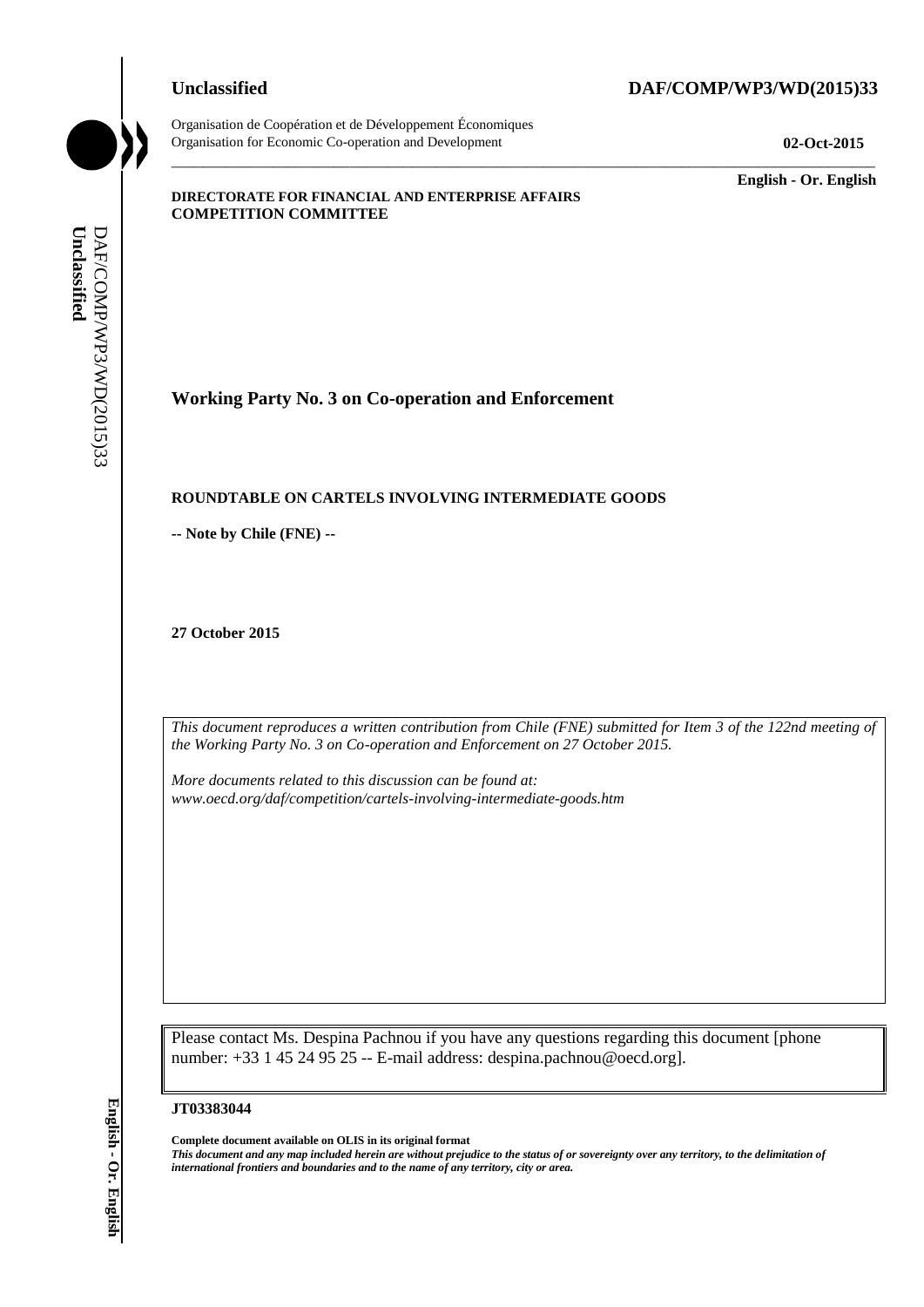Organisation de Coopération et de Développement Économiques Organisation for Economic Co-operation and Development **02-Oct-2015**

# **Unclassified DAF/COMP/WP3/WD(2015)33**

\_\_\_\_\_\_\_\_\_\_\_\_\_ **English - Or. English**

#### **DIRECTORATE FOR FINANCIAL AND ENTERPRISE AFFAIRS COMPETITION COMMITTEE**

**Working Party No. 3 on Co-operation and Enforcement**

# **ROUNDTABLE ON CARTELS INVOLVING INTERMEDIATE GOODS**

**-- Note by Chile (FNE) --**

**27 October 2015**

*This document reproduces a written contribution from Chile (FNE) submitted for Item 3 of the 122nd meeting of the Working Party No. 3 on Co-operation and Enforcement on 27 October 2015.* 

\_\_\_\_\_\_\_\_\_\_\_\_\_\_\_\_\_\_\_\_\_\_\_\_\_\_\_\_\_\_\_\_\_\_\_\_\_\_\_\_\_\_\_\_\_\_\_\_\_\_\_\_\_\_\_\_\_\_\_\_\_\_\_\_\_\_\_\_\_\_\_\_\_\_\_\_\_\_\_\_\_\_\_\_\_\_\_\_\_\_\_

*More documents related to this discussion can be found at: www.oecd.org/daf/competition/cartels-involving-intermediate-goods.htm*

Please contact Ms. Despina Pachnou if you have any questions regarding this document [phone number: +33 1 45 24 95 25 -- E-mail address: despina.pachnou@oecd.org].

#### **JT03383044**

**Complete document available on OLIS in its original format** *This document and any map included herein are without prejudice to the status of or sovereignty over any territory, to the delimitation of international frontiers and boundaries and to the name of any territory, city or area.* **Unclassified** DAF/COMP/WP3/WD(2015)33 **English - Or. English**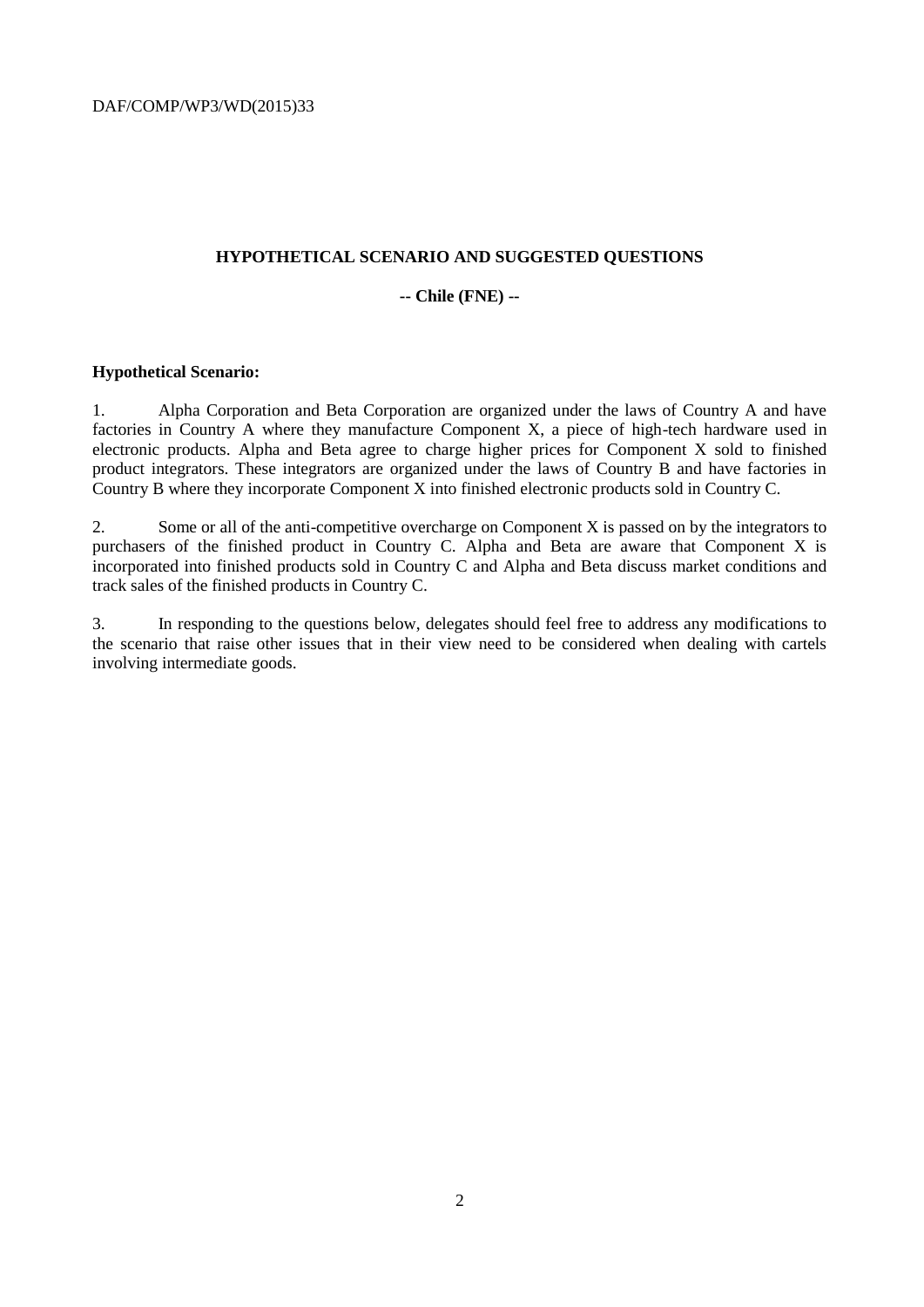DAF/COMP/WP3/WD(2015)33

# **HYPOTHETICAL SCENARIO AND SUGGESTED QUESTIONS**

# **-- Chile (FNE) --**

# **Hypothetical Scenario:**

1. Alpha Corporation and Beta Corporation are organized under the laws of Country A and have factories in Country A where they manufacture Component X, a piece of high-tech hardware used in electronic products. Alpha and Beta agree to charge higher prices for Component X sold to finished product integrators. These integrators are organized under the laws of Country B and have factories in Country B where they incorporate Component X into finished electronic products sold in Country C.

2. Some or all of the anti-competitive overcharge on Component X is passed on by the integrators to purchasers of the finished product in Country C. Alpha and Beta are aware that Component X is incorporated into finished products sold in Country C and Alpha and Beta discuss market conditions and track sales of the finished products in Country C.

3. In responding to the questions below, delegates should feel free to address any modifications to the scenario that raise other issues that in their view need to be considered when dealing with cartels involving intermediate goods.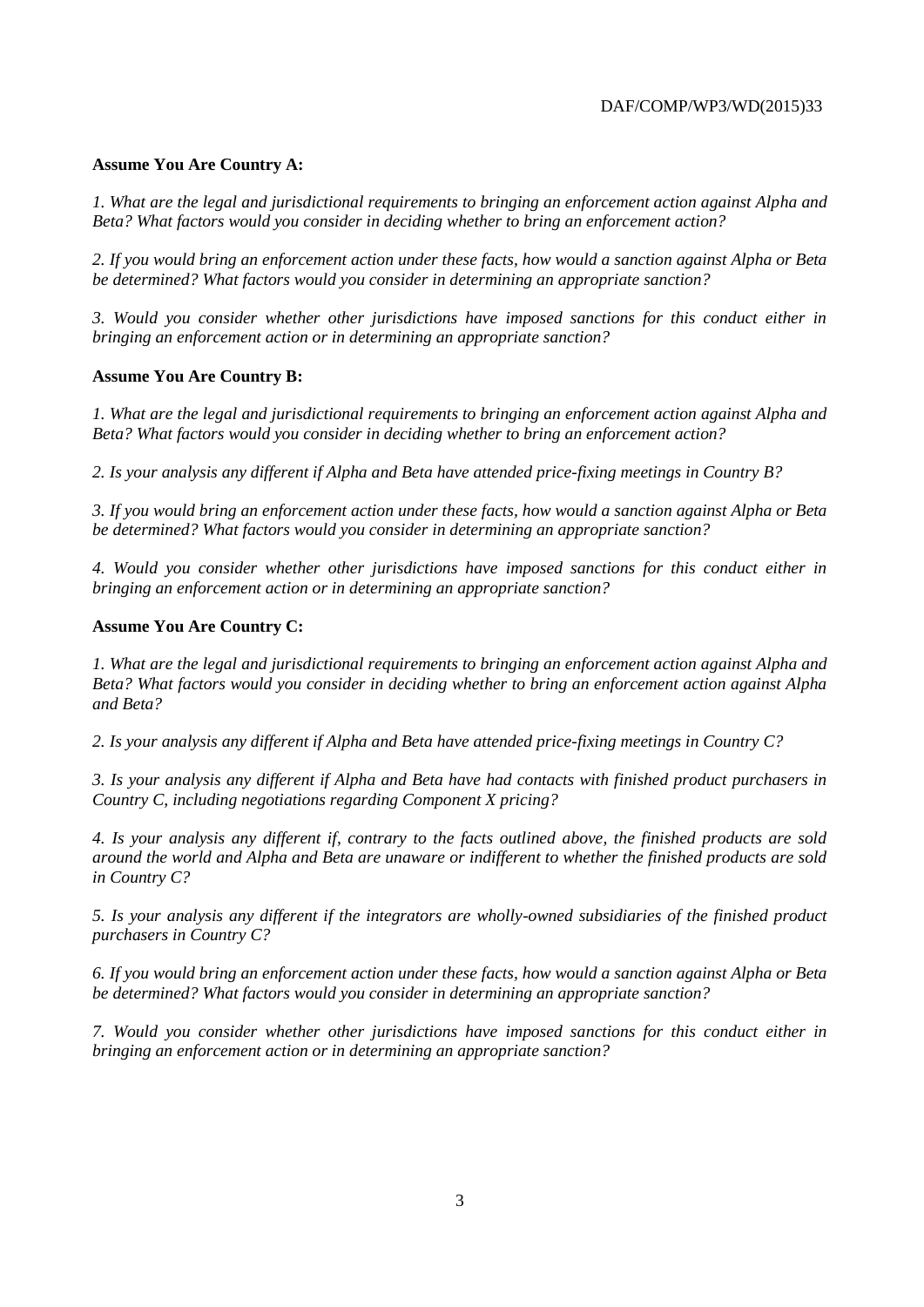### **Assume You Are Country A:**

*1. What are the legal and jurisdictional requirements to bringing an enforcement action against Alpha and Beta? What factors would you consider in deciding whether to bring an enforcement action?* 

*2. If you would bring an enforcement action under these facts, how would a sanction against Alpha or Beta be determined? What factors would you consider in determining an appropriate sanction?* 

*3. Would you consider whether other jurisdictions have imposed sanctions for this conduct either in bringing an enforcement action or in determining an appropriate sanction?* 

#### **Assume You Are Country B:**

*1. What are the legal and jurisdictional requirements to bringing an enforcement action against Alpha and Beta? What factors would you consider in deciding whether to bring an enforcement action?* 

*2. Is your analysis any different if Alpha and Beta have attended price-fixing meetings in Country B?* 

*3. If you would bring an enforcement action under these facts, how would a sanction against Alpha or Beta be determined? What factors would you consider in determining an appropriate sanction?* 

*4. Would you consider whether other jurisdictions have imposed sanctions for this conduct either in bringing an enforcement action or in determining an appropriate sanction?* 

#### **Assume You Are Country C:**

*1. What are the legal and jurisdictional requirements to bringing an enforcement action against Alpha and Beta? What factors would you consider in deciding whether to bring an enforcement action against Alpha and Beta?* 

*2. Is your analysis any different if Alpha and Beta have attended price-fixing meetings in Country C?* 

*3. Is your analysis any different if Alpha and Beta have had contacts with finished product purchasers in Country C, including negotiations regarding Component X pricing?* 

*4. Is your analysis any different if, contrary to the facts outlined above, the finished products are sold around the world and Alpha and Beta are unaware or indifferent to whether the finished products are sold in Country C?* 

*5. Is your analysis any different if the integrators are wholly-owned subsidiaries of the finished product purchasers in Country C?* 

*6. If you would bring an enforcement action under these facts, how would a sanction against Alpha or Beta be determined? What factors would you consider in determining an appropriate sanction?* 

*7. Would you consider whether other jurisdictions have imposed sanctions for this conduct either in bringing an enforcement action or in determining an appropriate sanction?*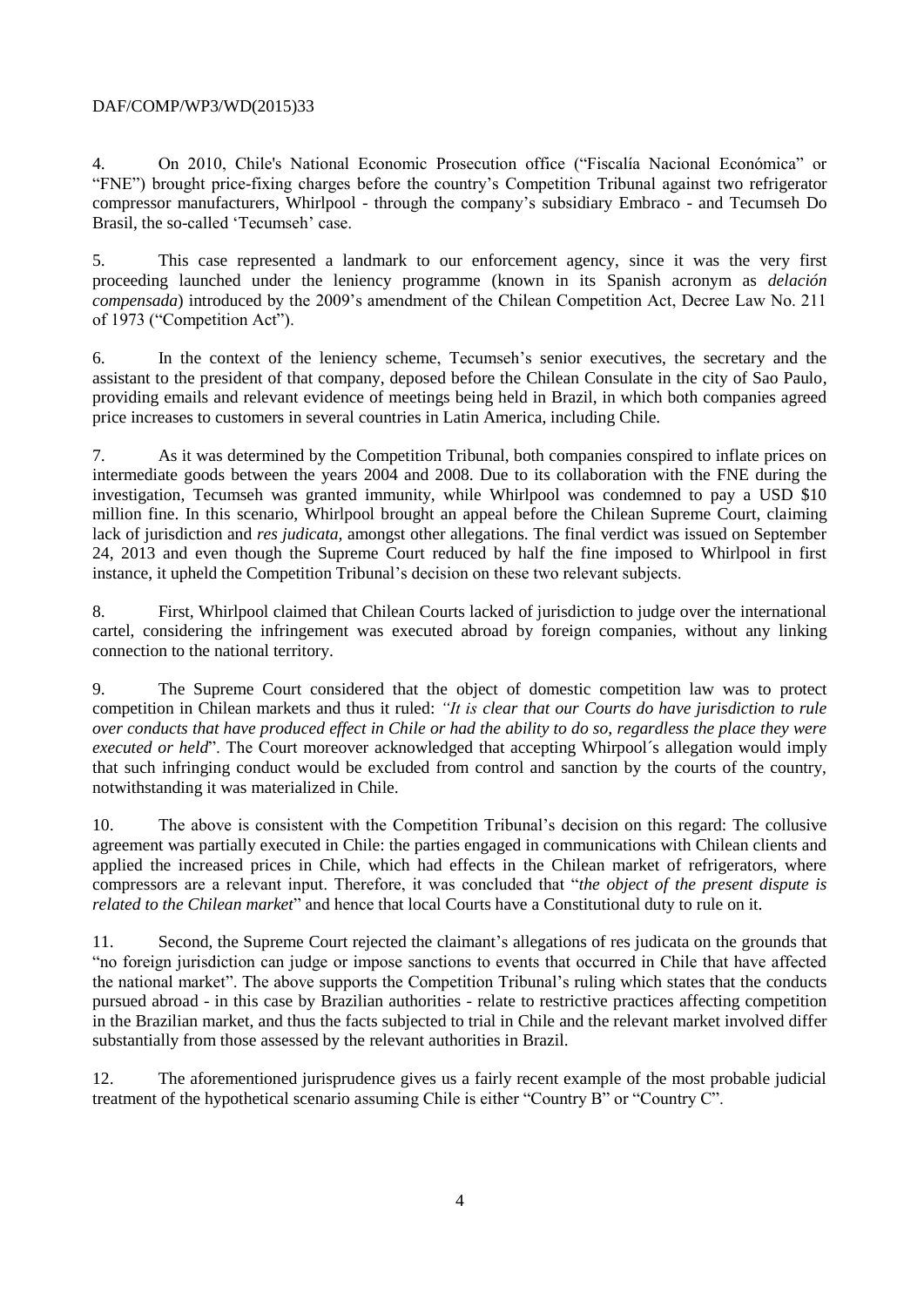# DAF/COMP/WP3/WD(2015)33

4. On 2010, Chile's National Economic Prosecution office ("Fiscalía Nacional Económica" or "FNE") brought price-fixing charges before the country's Competition Tribunal against two refrigerator compressor manufacturers, Whirlpool - through the company's subsidiary Embraco - and Tecumseh Do Brasil, the so-called 'Tecumseh' case.

5. This case represented a landmark to our enforcement agency, since it was the very first proceeding launched under the leniency programme (known in its Spanish acronym as *delación compensada*) introduced by the 2009's amendment of the Chilean Competition Act, Decree Law No. 211 of 1973 ("Competition Act").

6. In the context of the leniency scheme, Tecumseh's senior executives, the secretary and the assistant to the president of that company, deposed before the Chilean Consulate in the city of Sao Paulo, providing emails and relevant evidence of meetings being held in Brazil, in which both companies agreed price increases to customers in several countries in Latin America, including Chile.

7. As it was determined by the Competition Tribunal, both companies conspired to inflate prices on intermediate goods between the years 2004 and 2008. Due to its collaboration with the FNE during the investigation, Tecumseh was granted immunity, while Whirlpool was condemned to pay a USD \$10 million fine. In this scenario, Whirlpool brought an appeal before the Chilean Supreme Court, claiming lack of jurisdiction and *res judicata,* amongst other allegations. The final verdict was issued on September 24, 2013 and even though the Supreme Court reduced by half the fine imposed to Whirlpool in first instance, it upheld the Competition Tribunal's decision on these two relevant subjects.

8. First, Whirlpool claimed that Chilean Courts lacked of jurisdiction to judge over the international cartel, considering the infringement was executed abroad by foreign companies, without any linking connection to the national territory.

9. The Supreme Court considered that the object of domestic competition law was to protect competition in Chilean markets and thus it ruled: *"It is clear that our Courts do have jurisdiction to rule over conducts that have produced effect in Chile or had the ability to do so, regardless the place they were executed or held*". The Court moreover acknowledged that accepting Whirpool´s allegation would imply that such infringing conduct would be excluded from control and sanction by the courts of the country, notwithstanding it was materialized in Chile.

10. The above is consistent with the Competition Tribunal's decision on this regard: The collusive agreement was partially executed in Chile: the parties engaged in communications with Chilean clients and applied the increased prices in Chile, which had effects in the Chilean market of refrigerators, where compressors are a relevant input. Therefore, it was concluded that "*the object of the present dispute is related to the Chilean market*" and hence that local Courts have a Constitutional duty to rule on it.

11. Second, the Supreme Court rejected the claimant's allegations of res judicata on the grounds that "no foreign jurisdiction can judge or impose sanctions to events that occurred in Chile that have affected the national market". The above supports the Competition Tribunal's ruling which states that the conducts pursued abroad - in this case by Brazilian authorities - relate to restrictive practices affecting competition in the Brazilian market, and thus the facts subjected to trial in Chile and the relevant market involved differ substantially from those assessed by the relevant authorities in Brazil.

12. The aforementioned jurisprudence gives us a fairly recent example of the most probable judicial treatment of the hypothetical scenario assuming Chile is either "Country B" or "Country C".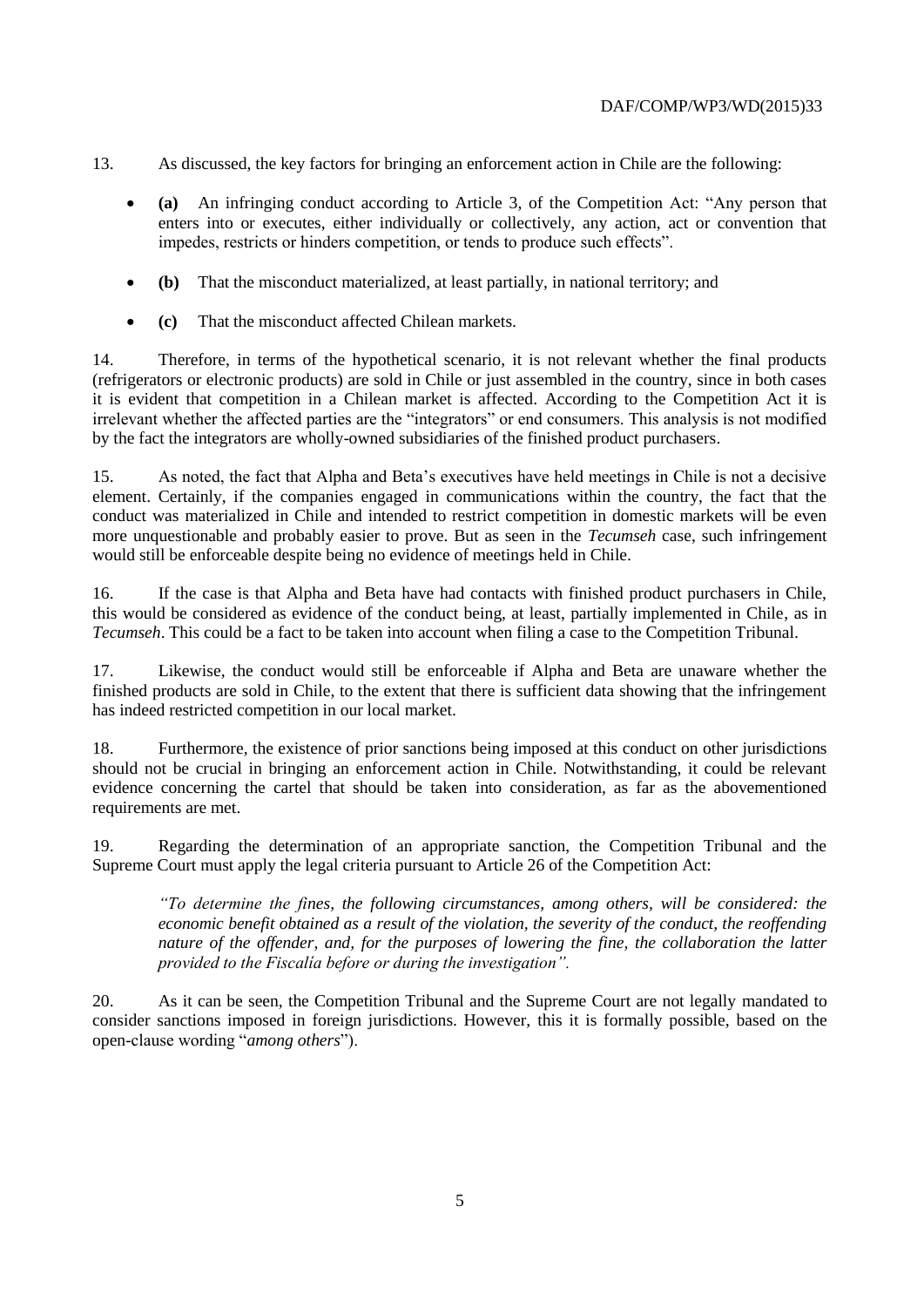- 13. As discussed, the key factors for bringing an enforcement action in Chile are the following:
	- **(a)** An infringing conduct according to Article 3, of the Competition Act: "Any person that enters into or executes, either individually or collectively, any action, act or convention that impedes, restricts or hinders competition, or tends to produce such effects".
	- **(b)** That the misconduct materialized, at least partially, in national territory; and
	- **(c)** That the misconduct affected Chilean markets.

14. Therefore, in terms of the hypothetical scenario, it is not relevant whether the final products (refrigerators or electronic products) are sold in Chile or just assembled in the country, since in both cases it is evident that competition in a Chilean market is affected. According to the Competition Act it is irrelevant whether the affected parties are the "integrators" or end consumers. This analysis is not modified by the fact the integrators are wholly-owned subsidiaries of the finished product purchasers.

15. As noted, the fact that Alpha and Beta's executives have held meetings in Chile is not a decisive element. Certainly, if the companies engaged in communications within the country, the fact that the conduct was materialized in Chile and intended to restrict competition in domestic markets will be even more unquestionable and probably easier to prove. But as seen in the *Tecumseh* case, such infringement would still be enforceable despite being no evidence of meetings held in Chile.

16. If the case is that Alpha and Beta have had contacts with finished product purchasers in Chile, this would be considered as evidence of the conduct being, at least, partially implemented in Chile, as in *Tecumseh*. This could be a fact to be taken into account when filing a case to the Competition Tribunal.

17. Likewise, the conduct would still be enforceable if Alpha and Beta are unaware whether the finished products are sold in Chile, to the extent that there is sufficient data showing that the infringement has indeed restricted competition in our local market.

18. Furthermore, the existence of prior sanctions being imposed at this conduct on other jurisdictions should not be crucial in bringing an enforcement action in Chile. Notwithstanding, it could be relevant evidence concerning the cartel that should be taken into consideration, as far as the abovementioned requirements are met.

19. Regarding the determination of an appropriate sanction, the Competition Tribunal and the Supreme Court must apply the legal criteria pursuant to Article 26 of the Competition Act:

*"To determine the fines, the following circumstances, among others, will be considered: the economic benefit obtained as a result of the violation, the severity of the conduct, the reoffending nature of the offender, and, for the purposes of lowering the fine, the collaboration the latter provided to the Fiscalía before or during the investigation".*

20. As it can be seen, the Competition Tribunal and the Supreme Court are not legally mandated to consider sanctions imposed in foreign jurisdictions. However, this it is formally possible, based on the open-clause wording "*among others*").